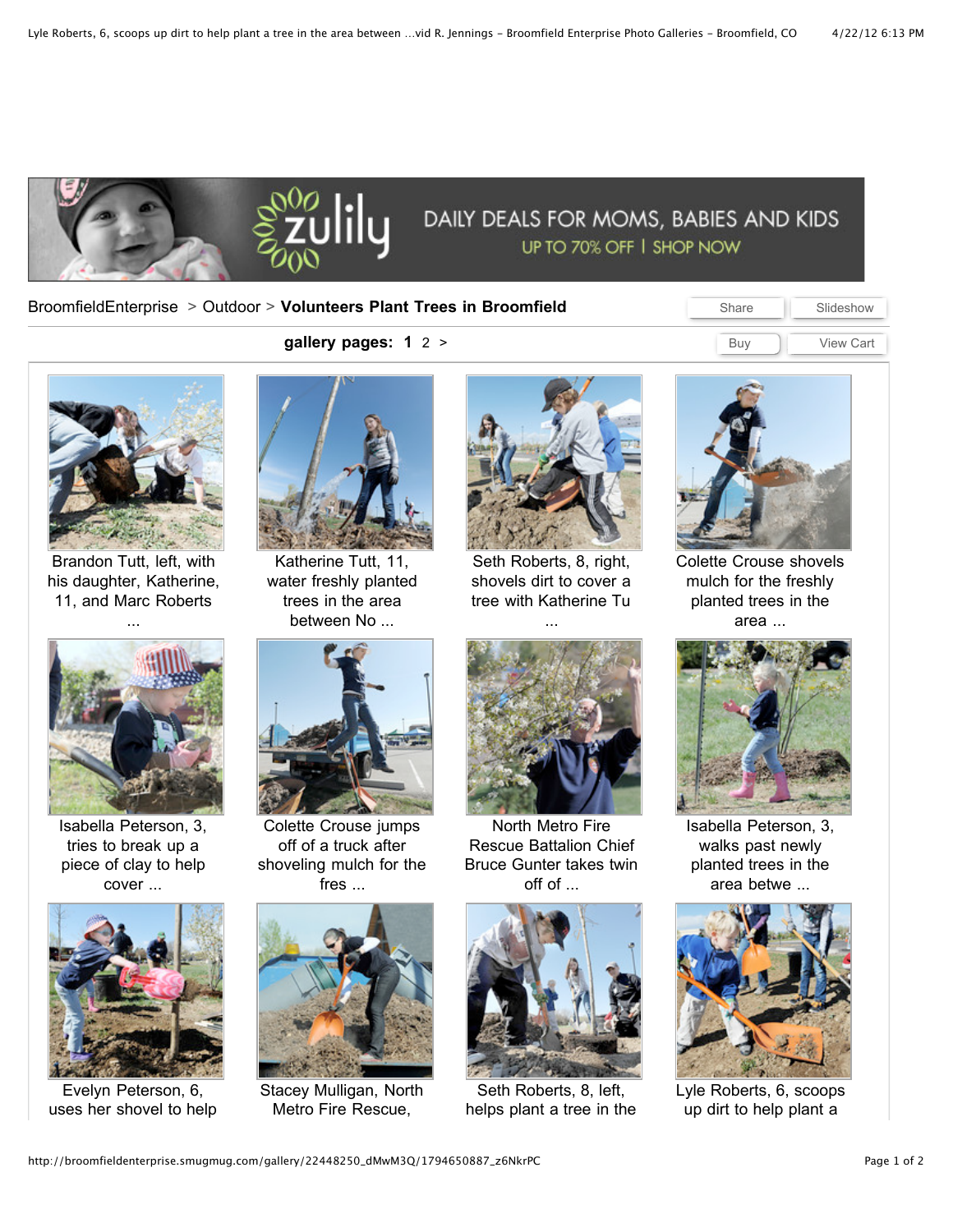

## [BroomfieldEnterprise](http://broomfieldenterprise.smugmug.com/) > [Outdoor](http://broomfieldenterprise.smugmug.com/Outdoor) > **Volunteers Plant Trees in Broomfield**

Share Slideshow Buy **View Cart** 



[Brandon](http://broomfieldenterprise.smugmug.com/Outdoor/Volunteers-Planting-Trees-in/22448250_dMwM3Q/1/1794649834_cK5xnWs/Medium) Tutt, left, with his daughter, Katherine, 11, and Marc Roberts ...



Isabella Peterson, 3, tries to break up a piece of clay to help cover ...



Evelyn Peterson, 6, uses her shovel to help



**gallery pages: 1** [2](http://broomfieldenterprise.smugmug.com/Outdoor/Volunteers-Planting-Trees-in/22448250_dMwM3Q/2) [>](http://broomfieldenterprise.smugmug.com/Outdoor/Volunteers-Planting-Trees-in/22448250_dMwM3Q/2)

[Katherine](http://broomfieldenterprise.smugmug.com/Outdoor/Volunteers-Planting-Trees-in/22448250_dMwM3Q/1/1794649835_mt8rRJd/Medium) Tutt, 11, water freshly planted trees in the area between No ...



Seth [Roberts,](http://broomfieldenterprise.smugmug.com/Outdoor/Volunteers-Planting-Trees-in/22448250_dMwM3Q/1/1794649845_6DBMZhL/Medium) 8, right, shovels dirt to cover a tree with Katherine Tu

...



Colette Crouse [shovels](http://broomfieldenterprise.smugmug.com/Outdoor/Volunteers-Planting-Trees-in/22448250_dMwM3Q/1/1794650092_LVwq3XZ/Medium) mulch for the freshly planted trees in the area ...



Colette Crouse jumps off of a truck after shoveling mulch for the fres ...



Stacey Mulligan, North Metro Fire Rescue,



North Metro Fire Rescue Battalion Chief Bruce Gunter takes twin off of ...



Seth Roberts, 8, left, helps plant a tree in the



Isabella Peterson, 3, walks past newly planted trees in the area betwe ...



Lyle Roberts, 6, scoops up dirt to help plant a